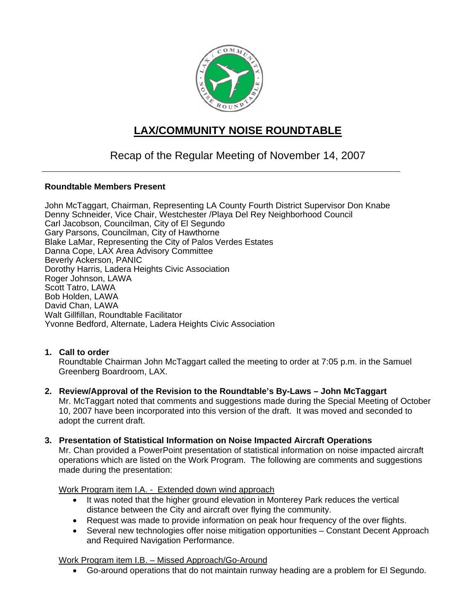

# **LAX/COMMUNITY NOISE ROUNDTABLE**

# Recap of the Regular Meeting of November 14, 2007

### **Roundtable Members Present**

John McTaggart, Chairman, Representing LA County Fourth District Supervisor Don Knabe Denny Schneider, Vice Chair, Westchester /Playa Del Rey Neighborhood Council Carl Jacobson, Councilman, City of El Segundo Gary Parsons, Councilman, City of Hawthorne Blake LaMar, Representing the City of Palos Verdes Estates Danna Cope, LAX Area Advisory Committee Beverly Ackerson, PANIC Dorothy Harris, Ladera Heights Civic Association Roger Johnson, LAWA Scott Tatro, LAWA Bob Holden, LAWA David Chan, LAWA Walt Gillfillan, Roundtable Facilitator Yvonne Bedford, Alternate, Ladera Heights Civic Association

### **1. Call to order**

Roundtable Chairman John McTaggart called the meeting to order at 7:05 p.m. in the Samuel Greenberg Boardroom, LAX.

- **2. Review/Approval of the Revision to the Roundtable's By-Laws John McTaggart** Mr. McTaggart noted that comments and suggestions made during the Special Meeting of October 10, 2007 have been incorporated into this version of the draft. It was moved and seconded to adopt the current draft.
- **3. Presentation of Statistical Information on Noise Impacted Aircraft Operations**

Mr. Chan provided a PowerPoint presentation of statistical information on noise impacted aircraft operations which are listed on the Work Program. The following are comments and suggestions made during the presentation:

### Work Program item I.A. - Extended down wind approach

- It was noted that the higher ground elevation in Monterey Park reduces the vertical distance between the City and aircraft over flying the community.
- Request was made to provide information on peak hour frequency of the over flights.
- Several new technologies offer noise mitigation opportunities Constant Decent Approach and Required Navigation Performance.

### Work Program item I.B. – Missed Approach/Go-Around

• Go-around operations that do not maintain runway heading are a problem for El Segundo.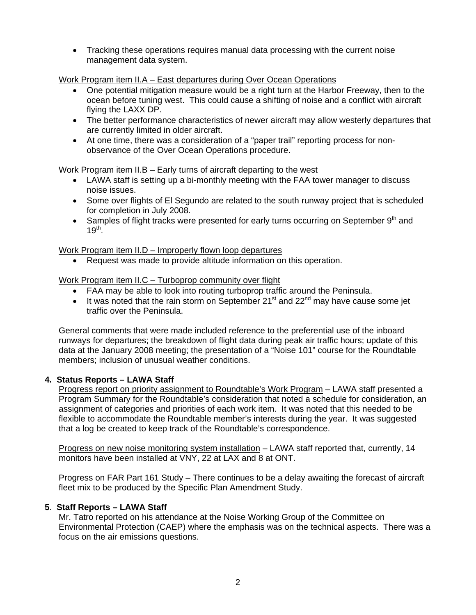• Tracking these operations requires manual data processing with the current noise management data system.

Work Program item II.A – East departures during Over Ocean Operations

- One potential mitigation measure would be a right turn at the Harbor Freeway, then to the ocean before tuning west. This could cause a shifting of noise and a conflict with aircraft flying the LAXX DP.
- The better performance characteristics of newer aircraft may allow westerly departures that are currently limited in older aircraft.
- At one time, there was a consideration of a "paper trail" reporting process for nonobservance of the Over Ocean Operations procedure.

# Work Program item II.B – Early turns of aircraft departing to the west

- LAWA staff is setting up a bi-monthly meeting with the FAA tower manager to discuss noise issues.
- Some over flights of El Segundo are related to the south runway project that is scheduled for completion in July 2008.
- Samples of flight tracks were presented for early turns occurring on September  $9<sup>th</sup>$  and  $19^{th}$ .

Work Program item II.D – Improperly flown loop departures

• Request was made to provide altitude information on this operation.

# Work Program item II.C – Turboprop community over flight

- FAA may be able to look into routing turboprop traffic around the Peninsula.
- It was noted that the rain storm on September 21<sup>st</sup> and 22<sup>nd</sup> may have cause some jet traffic over the Peninsula.

General comments that were made included reference to the preferential use of the inboard runways for departures; the breakdown of flight data during peak air traffic hours; update of this data at the January 2008 meeting; the presentation of a "Noise 101" course for the Roundtable members; inclusion of unusual weather conditions.

# **4. Status Reports – LAWA Staff**

Progress report on priority assignment to Roundtable's Work Program – LAWA staff presented a Program Summary for the Roundtable's consideration that noted a schedule for consideration, an assignment of categories and priorities of each work item. It was noted that this needed to be flexible to accommodate the Roundtable member's interests during the year. It was suggested that a log be created to keep track of the Roundtable's correspondence.

Progress on new noise monitoring system installation – LAWA staff reported that, currently, 14 monitors have been installed at VNY, 22 at LAX and 8 at ONT.

Progress on FAR Part 161 Study – There continues to be a delay awaiting the forecast of aircraft fleet mix to be produced by the Specific Plan Amendment Study.

### **5**. **Staff Reports – LAWA Staff**

Mr. Tatro reported on his attendance at the Noise Working Group of the Committee on Environmental Protection (CAEP) where the emphasis was on the technical aspects. There was a focus on the air emissions questions.